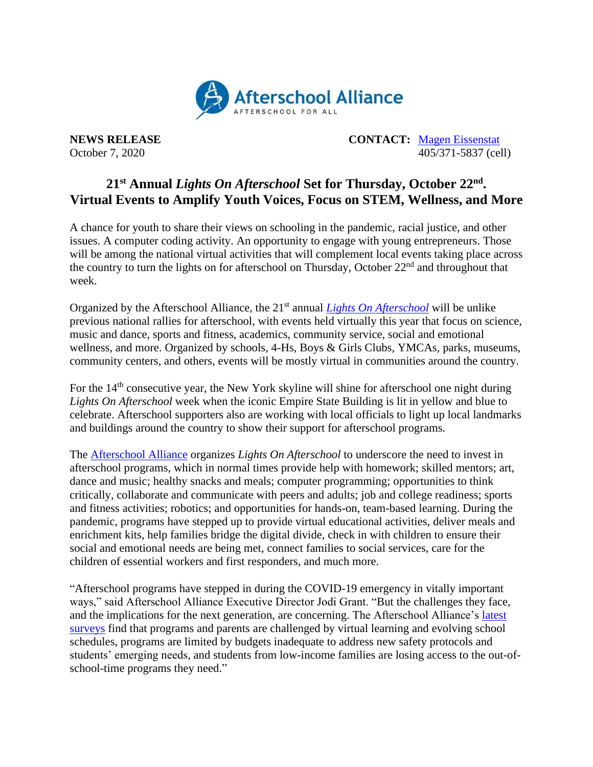

**NEWS RELEASE CONTACT:** [Magen Eissenstat](mailto:magen@prsolutionsdc.com) October 7, 2020 405/371-5837 (cell)

## **21 st Annual** *Lights On Afterschool* **Set for Thursday, October 22 nd . Virtual Events to Amplify Youth Voices, Focus on STEM, Wellness, and More**

A chance for youth to share their views on schooling in the pandemic, racial justice, and other issues. A computer coding activity. An opportunity to engage with young entrepreneurs. Those will be among the national virtual activities that will complement local events taking place across the country to turn the lights on for afterschool on Thursday, October 22<sup>nd</sup> and throughout that week.

Organized by the Afterschool Alliance, the 21<sup>st</sup> annual *[Lights On Afterschool](http://www.afterschoolalliance.org/loa.cfm)* will be unlike previous national rallies for afterschool, with events held virtually this year that focus on science, music and dance, sports and fitness, academics, community service, social and emotional wellness, and more. Organized by schools, 4-Hs, Boys & Girls Clubs, YMCAs, parks, museums, community centers, and others, events will be mostly virtual in communities around the country.

For the  $14<sup>th</sup>$  consecutive year, the New York skyline will shine for afterschool one night during *Lights On Afterschool* week when the iconic Empire State Building is lit in yellow and blue to celebrate. Afterschool supporters also are working with local officials to light up local landmarks and buildings around the country to show their support for afterschool programs.

The [Afterschool Alliance](http://www.afterschoolalliance.org/) organizes *Lights On Afterschool* to underscore the need to invest in afterschool programs, which in normal times provide help with homework; skilled mentors; art, dance and music; healthy snacks and meals; computer programming; opportunities to think critically, collaborate and communicate with peers and adults; job and college readiness; sports and fitness activities; robotics; and opportunities for hands-on, team-based learning. During the pandemic, programs have stepped up to provide virtual educational activities, deliver meals and enrichment kits, help families bridge the digital divide, check in with children to ensure their social and emotional needs are being met, connect families to social services, care for the children of essential workers and first responders, and much more.

"Afterschool programs have stepped in during the COVID-19 emergency in vitally important ways," said Afterschool Alliance Executive Director Jodi Grant. "But the challenges they face, and the implications for the next generation, are concerning. The Afterschool Alliance's [latest](http://afterschoolalliance.org/documents/Afterschool-COVID-19-Wave-2-Brief.pdf)  [surveys](http://afterschoolalliance.org/documents/Afterschool-COVID-19-Wave-2-Brief.pdf) find that programs and parents are challenged by virtual learning and evolving school schedules, programs are limited by budgets inadequate to address new safety protocols and students' emerging needs, and students from low-income families are losing access to the out-ofschool-time programs they need."